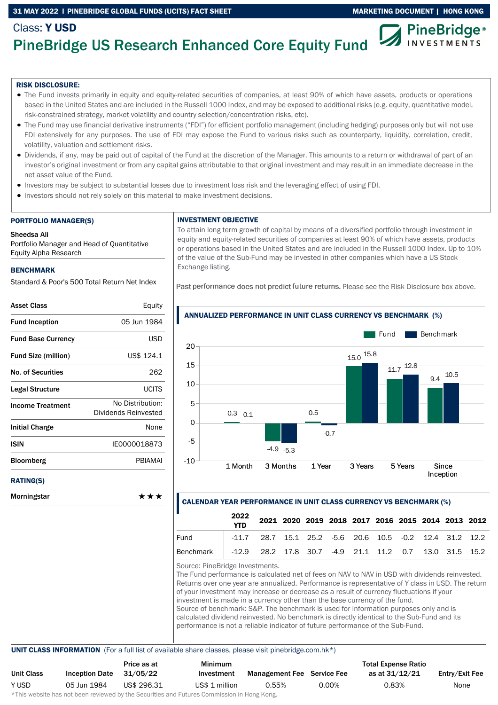## 31 MAY 2022 I PINEBRIDGE GLOBAL FUNDS (UCITS) FACT SHEET MARKETING DOCUMENT | HONG KONG



# PineBridge US Research Enhanced Core Equity Fund

### RISK DISCLOSURE:

Class: Y USD

- The Fund invests primarily in equity and equity-related securities of companies, at least 90% of which have assets, products or operations based in the United States and are included in the Russell 1000 Index, and may be exposed to additional risks (e.g. equity, quantitative model, risk-constrained strategy, market volatility and country selection/concentration risks, etc).
- The Fund may use financial derivative instruments ("FDI") for efficient portfolio management (including hedging) purposes only but will not use FDI extensively for any purposes. The use of FDI may expose the Fund to various risks such as counterparty, liquidity, correlation, credit, volatility, valuation and settlement risks.
- Dividends, if any, may be paid out of capital of the Fund at the discretion of the Manager. This amounts to a return or withdrawal of part of an investor's original investment or from any capital gains attributable to that original investment and may result in an immediate decrease in the net asset value of the Fund.
- Investors may be subject to substantial losses due to investment loss risk and the leveraging effect of using FDI.
- Investors should not rely solely on this material to make investment decisions.

#### PORTFOLIO MANAGER(S)

#### Sheedsa Ali

Portfolio Manager and Head of Quantitative Equity Alpha Research

### BENCHMARK

Standard & Poor's 500 Total Return Net Index

| <b>Asset Class</b>         | Equity                                   |
|----------------------------|------------------------------------------|
| <b>Fund Inception</b>      | 05 Jun 1984                              |
| <b>Fund Base Currency</b>  | USD                                      |
| <b>Fund Size (million)</b> | US\$ 124.1                               |
| <b>No. of Securities</b>   | 262                                      |
| Legal Structure            | <b>UCITS</b>                             |
| <b>Income Treatment</b>    | No Distribution:<br>Dividends Reinvested |
| <b>Initial Charge</b>      | None                                     |
| ISIN                       | IE0000018873                             |
| <b>Bloomberg</b>           | <b>PBIAMAI</b>                           |
| <b>RATING(S)</b>           |                                          |
| Morningstar                | ***                                      |

### INVESTMENT OBJECTIVE

To attain long term growth of capital by means of a diversified portfolio through investment in equity and equity-related securities of companies at least 90% of which have assets, products or operations based in the United States and are included in the Russell 1000 Index. Up to 10% of the value of the Sub-Fund may be invested in other companies which have a US Stock Exchange listing.

Past performance does not predict future returns. Please see the Risk Disclosure box above.



# ANNUALIZED PERFORMANCE IN UNIT CLASS CURRENCY VS BENCHMARK (%)

### CALENDAR YEAR PERFORMANCE IN UNIT CLASS CURRENCY VS BENCHMARK (%)

|           | 2022<br><b>YTD</b>                                        |  | 2021 2020 2019 2018 2017 2016 2015 2014 2013 2012 |  |  |  |  |
|-----------|-----------------------------------------------------------|--|---------------------------------------------------|--|--|--|--|
| Fund      | $-11.7$ 28.7 15.1 25.2 -5.6 20.6 10.5 -0.2 12.4 31.2 12.2 |  |                                                   |  |  |  |  |
| Benchmark | $-12.9$ 28.2 17.8 30.7 -4.9 21.1 11.2 0.7 13.0 31.5 15.2  |  |                                                   |  |  |  |  |

Source: PineBridge Investments.

The Fund performance is calculated net of fees on NAV to NAV in USD with dividends reinvested. Returns over one year are annualized. Performance is representative of Y class in USD. The return of your investment may increase or decrease as a result of currency fluctuations if your investment is made in a currency other than the base currency of the fund. Source of benchmark: S&P. The benchmark is used for information purposes only and is calculated dividend reinvested. No benchmark is directly identical to the Sub-Fund and its performance is not a reliable indicator of future performance of the Sub-Fund.

### UNIT CLASS INFORMATION (For a full list of available share classes, please visit pinebridge.com.hk\*)

|                   |                       | Price as at | Minimum        |                                   |       | <b>Total Expense Ratio</b> |                |
|-------------------|-----------------------|-------------|----------------|-----------------------------------|-------|----------------------------|----------------|
| <b>Unit Class</b> | <b>Inception Date</b> | 31/05/22    | Investment     | <b>Management Fee</b> Service Fee |       | as at 31/12/21             | Entry/Exit Fee |
| Y USD             | 05 Jun 1984           | US\$ 296.31 | US\$ 1 million | 0.55%                             | 0.00% | 0.83%                      | None           |

\*This website has not been reviewed by the Securities and Futures Commission in Hong Kong.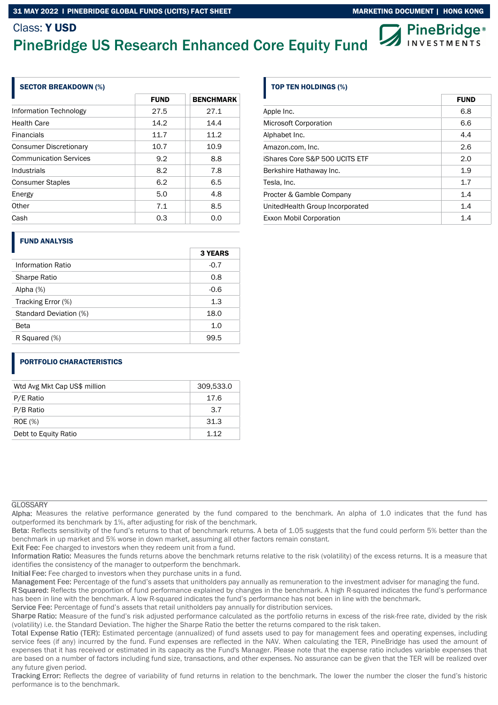# Class: Y USD





## SECTOR BREAKDOWN (%)

|                               | <b>FUND</b> | <b>BENCHMARK</b> |
|-------------------------------|-------------|------------------|
| Information Technology        | 27.5        | 27.1             |
| <b>Health Care</b>            | 14.2        | 14.4             |
| <b>Financials</b>             | 11.7        | 11.2             |
| <b>Consumer Discretionary</b> | 10.7        | 10.9             |
| <b>Communication Services</b> | 9.2         | 8.8              |
| Industrials                   | 8.2         | 7.8              |
| <b>Consumer Staples</b>       | 6.2         | 6.5              |
| Energy                        | 5.0         | 4.8              |
| Other                         | 7.1         | 8.5              |
| Cash                          | 0.3         | 0.0              |

### FUND ANALYSIS

| Information Ratio<br>$-0.7$<br>0.8<br><b>Sharpe Ratio</b><br>$-0.6$<br>Alpha $(%)$<br>1.3<br>Tracking Error (%)<br>18.0<br>Standard Deviation (%)<br>1.0<br>Beta<br>R Squared (%)<br>99.5 | <b>3 YEARS</b> |
|-------------------------------------------------------------------------------------------------------------------------------------------------------------------------------------------|----------------|
|                                                                                                                                                                                           |                |
|                                                                                                                                                                                           |                |
|                                                                                                                                                                                           |                |
|                                                                                                                                                                                           |                |
|                                                                                                                                                                                           |                |
|                                                                                                                                                                                           |                |
|                                                                                                                                                                                           |                |

### PORTFOLIO CHARACTERISTICS

| Wtd Avg Mkt Cap US\$ million | 309,533.0 |
|------------------------------|-----------|
| P/E Ratio                    | 17.6      |
| P/B Ratio                    | 3.7       |
| <b>ROE</b> (%)               | 31.3      |
| Debt to Equity Ratio         | 1 1 2     |

### **GLOSSARY**

Alpha: Measures the relative performance generated by the fund compared to the benchmark. An alpha of 1.0 indicates that the fund has outperformed its benchmark by 1%, after adjusting for risk of the benchmark.

Beta: Reflects sensitivity of the fund's returns to that of benchmark returns. A beta of 1.05 suggests that the fund could perform 5% better than the benchmark in up market and 5% worse in down market, assuming all other factors remain constant.

Exit Fee: Fee charged to investors when they redeem unit from a fund.

Information Ratio: Measures the funds returns above the benchmark returns relative to the risk (volatility) of the excess returns. It is a measure that identifies the consistency of the manager to outperform the benchmark.

Initial Fee: Fee charged to investors when they purchase units in a fund.

Management Fee: Percentage of the fund's assets that unitholders pay annually as remuneration to the investment adviser for managing the fund.

R Squared: Reflects the proportion of fund performance explained by changes in the benchmark. A high R-squared indicates the fund's performance has been in line with the benchmark. A low R-squared indicates the fund's performance has not been in line with the benchmark.

Service Fee: Percentage of fund's assets that retail unitholders pay annually for distribution services.

Sharpe Ratio: Measure of the fund's risk adjusted performance calculated as the portfolio returns in excess of the risk-free rate, divided by the risk (volatility) i.e. the Standard Deviation. The higher the Sharpe Ratio the better the returns compared to the risk taken.

Total Expense Ratio (TER): Estimated percentage (annualized) of fund assets used to pay for management fees and operating expenses, including service fees (if any) incurred by the fund. Fund expenses are reflected in the NAV. When calculating the TER, PineBridge has used the amount of expenses that it has received or estimated in its capacity as the Fund's Manager. Please note that the expense ratio includes variable expenses that are based on a number of factors including fund size, transactions, and other expenses. No assurance can be given that the TER will be realized over any future given period.

Tracking Error: Reflects the degree of variability of fund returns in relation to the benchmark. The lower the number the closer the fund's historic performance is to the benchmark.

# TOP TEN HOLDINGS (%)

|                                  | <b>FUND</b> |
|----------------------------------|-------------|
| Apple Inc.                       | 6.8         |
| <b>Microsoft Corporation</b>     | 6.6         |
| Alphabet Inc.                    | 4.4         |
| Amazon.com, Inc.                 | 2.6         |
| iShares Core S&P 500 UCITS ETF   | 2.0         |
| Berkshire Hathaway Inc.          | 1.9         |
| Tesla, Inc.                      | 1.7         |
| Procter & Gamble Company         | 1.4         |
| United Health Group Incorporated | 1.4         |
| Exxon Mobil Corporation          | 1.4         |